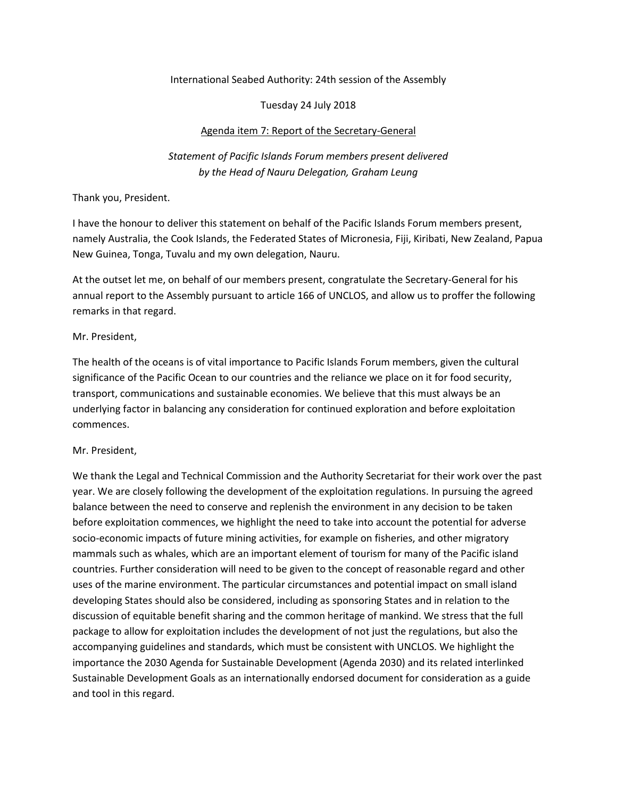#### International Seabed Authority: 24th session of the Assembly

## Tuesday 24 July 2018

## Agenda item 7: Report of the Secretary-General

# *Statement of Pacific Islands Forum members present delivered by the Head of Nauru Delegation, Graham Leung*

## Thank you, President.

I have the honour to deliver this statement on behalf of the Pacific Islands Forum members present, namely Australia, the Cook Islands, the Federated States of Micronesia, Fiji, Kiribati, New Zealand, Papua New Guinea, Tonga, Tuvalu and my own delegation, Nauru.

At the outset let me, on behalf of our members present, congratulate the Secretary-General for his annual report to the Assembly pursuant to article 166 of UNCLOS, and allow us to proffer the following remarks in that regard.

## Mr. President,

The health of the oceans is of vital importance to Pacific Islands Forum members, given the cultural significance of the Pacific Ocean to our countries and the reliance we place on it for food security, transport, communications and sustainable economies. We believe that this must always be an underlying factor in balancing any consideration for continued exploration and before exploitation commences.

# Mr. President,

We thank the Legal and Technical Commission and the Authority Secretariat for their work over the past year. We are closely following the development of the exploitation regulations. In pursuing the agreed balance between the need to conserve and replenish the environment in any decision to be taken before exploitation commences, we highlight the need to take into account the potential for adverse socio-economic impacts of future mining activities, for example on fisheries, and other migratory mammals such as whales, which are an important element of tourism for many of the Pacific island countries. Further consideration will need to be given to the concept of reasonable regard and other uses of the marine environment. The particular circumstances and potential impact on small island developing States should also be considered, including as sponsoring States and in relation to the discussion of equitable benefit sharing and the common heritage of mankind. We stress that the full package to allow for exploitation includes the development of not just the regulations, but also the accompanying guidelines and standards, which must be consistent with UNCLOS. We highlight the importance the 2030 Agenda for Sustainable Development (Agenda 2030) and its related interlinked Sustainable Development Goals as an internationally endorsed document for consideration as a guide and tool in this regard.